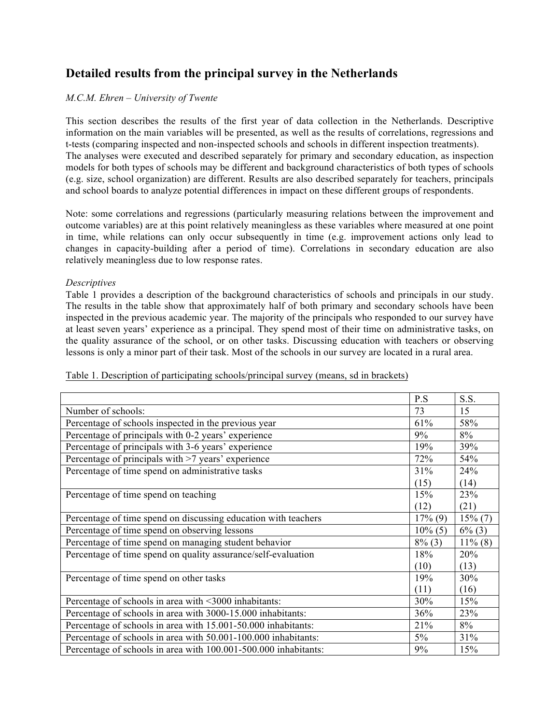# **Detailed results from the principal survey in the Netherlands**

## *M.C.M. Ehren – University of Twente*

This section describes the results of the first year of data collection in the Netherlands. Descriptive information on the main variables will be presented, as well as the results of correlations, regressions and t-tests (comparing inspected and non-inspected schools and schools in different inspection treatments). The analyses were executed and described separately for primary and secondary education, as inspection models for both types of schools may be different and background characteristics of both types of schools (e.g. size, school organization) are different. Results are also described separately for teachers, principals and school boards to analyze potential differences in impact on these different groups of respondents.

Note: some correlations and regressions (particularly measuring relations between the improvement and outcome variables) are at this point relatively meaningless as these variables where measured at one point in time, while relations can only occur subsequently in time (e.g. improvement actions only lead to changes in capacity-building after a period of time). Correlations in secondary education are also relatively meaningless due to low response rates.

#### *Descriptives*

Table 1 provides a description of the background characteristics of schools and principals in our study. The results in the table show that approximately half of both primary and secondary schools have been inspected in the previous academic year. The majority of the principals who responded to our survey have at least seven years' experience as a principal. They spend most of their time on administrative tasks, on the quality assurance of the school, or on other tasks. Discussing education with teachers or observing lessons is only a minor part of their task. Most of the schools in our survey are located in a rural area.

|                                                                 | P.S        | S.S.       |
|-----------------------------------------------------------------|------------|------------|
| Number of schools:                                              | 73         | 15         |
| Percentage of schools inspected in the previous year            | 61%        | 58%        |
| Percentage of principals with 0-2 years' experience             | 9%         | 8%         |
| Percentage of principals with 3-6 years' experience             | 19%        | 39%        |
| Percentage of principals with >7 years' experience              | 72%        | 54%        |
| Percentage of time spend on administrative tasks                | 31%        | 24%        |
|                                                                 | (15)       | (14)       |
| Percentage of time spend on teaching                            | 15%        | 23%        |
|                                                                 | (12)       | (21)       |
| Percentage of time spend on discussing education with teachers  | $17\%$ (9) | $15\%$ (7) |
| Percentage of time spend on observing lessons                   | $10\%$ (5) | $6\%$ (3)  |
| Percentage of time spend on managing student behavior           | $8\%$ (3)  | $11\%$ (8) |
| Percentage of time spend on quality assurance/self-evaluation   | 18%        | 20%        |
|                                                                 | (10)       | (13)       |
| Percentage of time spend on other tasks                         | 19%        | 30%        |
|                                                                 | (11)       | (16)       |
| Percentage of schools in area with <3000 inhabitants:           | 30%        | 15%        |
| Percentage of schools in area with 3000-15.000 inhabitants:     | 36%        | 23%        |
| Percentage of schools in area with 15.001-50.000 inhabitants:   | 21%        | 8%         |
| Percentage of schools in area with 50.001-100.000 inhabitants:  | $5\%$      | 31%        |
| Percentage of schools in area with 100.001-500.000 inhabitants: | 9%         | 15%        |

Table 1. Description of participating schools/principal survey (means, sd in brackets)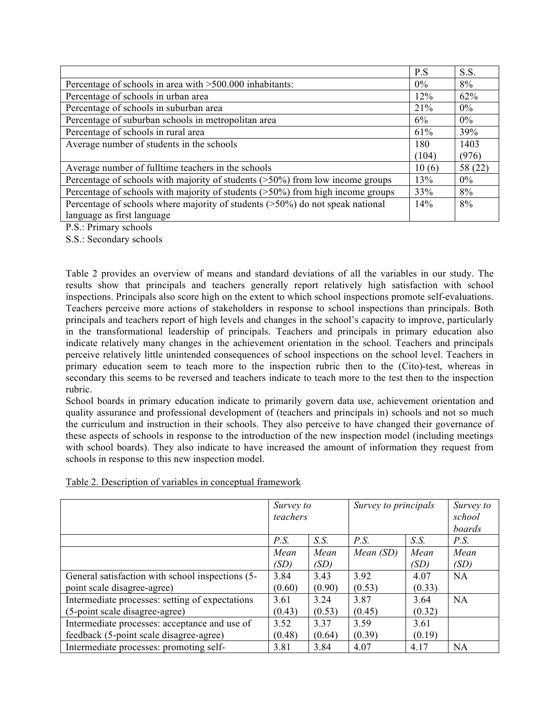|                                                                                   | P.S   | S.S.    |
|-----------------------------------------------------------------------------------|-------|---------|
| Percentage of schools in area with >500.000 inhabitants:                          | $0\%$ | 8%      |
| Percentage of schools in urban area                                               | 12%   | 62%     |
| Percentage of schools in suburban area                                            | 21%   | $0\%$   |
| Percentage of suburban schools in metropolitan area                               | 6%    | $0\%$   |
| Percentage of schools in rural area                                               | 61%   | 39%     |
| Average number of students in the schools                                         | 180   | 1403    |
|                                                                                   | (104) | (976)   |
| Average number of fulltime teachers in the schools                                | 10(6) | 58 (22) |
| Percentage of schools with majority of students $($ >50%) from low income groups  | 13%   | $0\%$   |
| Percentage of schools with majority of students $($ >50%) from high income groups | 33%   | 8%      |
| Percentage of schools where majority of students $($ >50%) do not speak national  | 14%   | 8%      |
| language as first language                                                        |       |         |

P.S.: Primary schools

S.S.: Secondary schools

Table 2 provides an overview of means and standard deviations of all the variables in our study. The results show that principals and teachers generally report relatively high satisfaction with school inspections. Principals also score high on the extent to which school inspections promote self-evaluations. Teachers perceive more actions of stakeholders in response to school inspections than principals. Both principals and teachers report of high levels and changes in the school's capacity to improve, particularly in the transformational leadership of principals. Teachers and principals in primary education also indicate relatively many changes in the achievement orientation in the school. Teachers and principals perceive relatively little unintended consequences of school inspections on the school level. Teachers in primary education seem to teach more to the inspection rubric then to the (Cito)-test, whereas in secondary this seems to be reversed and teachers indicate to teach more to the test then to the inspection rubric.

School boards in primary education indicate to primarily govern data use, achievement orientation and quality assurance and professional development of (teachers and principals in) schools and not so much the curriculum and instruction in their schools. They also perceive to have changed their governance of these aspects of schools in response to the introduction of the new inspection model (including meetings with school boards). They also indicate to have increased the amount of information they request from schools in response to this new inspection model.

|                                                  | Survey to<br>teachers |        | Survey to principals |        | Survey to<br>school |
|--------------------------------------------------|-----------------------|--------|----------------------|--------|---------------------|
|                                                  |                       |        |                      |        | boards              |
|                                                  | P.S.                  | S.S.   | P.S.                 | S.S.   | P.S.                |
|                                                  | Mean                  | Mean   | Mean(SD)             | Mean   | Mean                |
|                                                  | (SD)                  | (SD)   |                      | (SD)   | (SD)                |
| General satisfaction with school inspections (5- | 3.84                  | 3.43   | 3.92                 | 4.07   | <b>NA</b>           |
| point scale disagree-agree)                      | (0.60)                | (0.90) | (0.53)               | (0.33) |                     |
| Intermediate processes: setting of expectations  | 3.61                  | 3.24   | 3.87                 | 3.64   | NA                  |
| (5-point scale disagree-agree)                   | (0.43)                | (0.53) | (0.45)               | (0.32) |                     |
| Intermediate processes: acceptance and use of    | 3.52                  | 3.37   | 3.59                 | 3.61   |                     |
| feedback (5-point scale disagree-agree)          | (0.48)                | (0.64) | (0.39)               | (0.19) |                     |
| Intermediate processes: promoting self-          | 3.81                  | 3.84   | 4.07                 | 4.17   | <b>NA</b>           |

Table 2. Description of variables in conceptual framework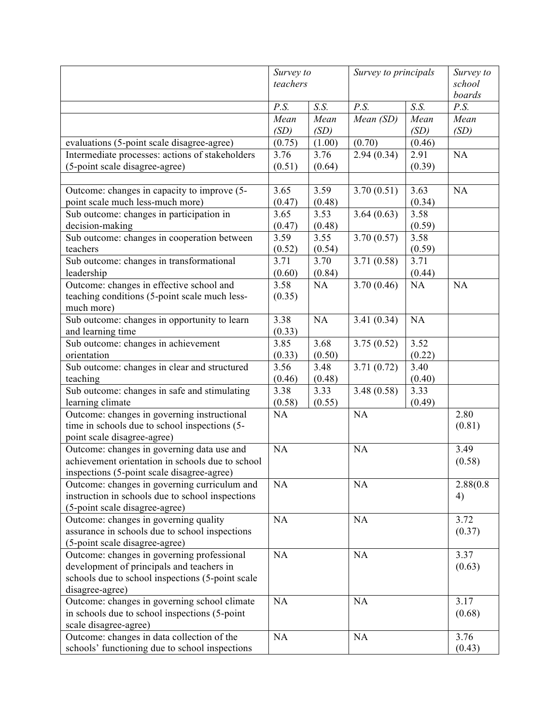|                                                  | Survey to         |              | Survey to principals |              | Survey to<br>school |
|--------------------------------------------------|-------------------|--------------|----------------------|--------------|---------------------|
|                                                  | teachers          |              |                      |              |                     |
|                                                  |                   |              |                      |              | boards              |
|                                                  | P.S.              | S.S.         | P.S.                 | S.S.         | P.S.                |
|                                                  | Mean<br>(SD)      | Mean<br>(SD) | Mean (SD)            | Mean<br>(SD) | Mean<br>(SD)        |
| evaluations (5-point scale disagree-agree)       | (0.75)            | (1.00)       | (0.70)               | (0.46)       |                     |
| Intermediate processes: actions of stakeholders  | 3.76              | 3.76         | 2.94(0.34)           | 2.91         | NA                  |
| (5-point scale disagree-agree)                   | (0.51)            | (0.64)       |                      | (0.39)       |                     |
|                                                  |                   |              |                      |              |                     |
| Outcome: changes in capacity to improve (5-      | 3.65              | 3.59         | 3.70(0.51)           | 3.63         | NA                  |
| point scale much less-much more)                 | (0.47)            | (0.48)       |                      | (0.34)       |                     |
| Sub outcome: changes in participation in         | 3.65              | 3.53         | 3.64(0.63)           | 3.58         |                     |
| decision-making                                  | (0.47)            | (0.48)       |                      | (0.59)       |                     |
| Sub outcome: changes in cooperation between      | 3.59              | 3.55         | 3.70(0.57)           | 3.58         |                     |
| teachers                                         | (0.52)            | (0.54)       |                      | (0.59)       |                     |
| Sub outcome: changes in transformational         | $\overline{3.71}$ | 3.70         |                      | 3.71         |                     |
|                                                  |                   |              | 3.71(0.58)           |              |                     |
| leadership                                       | (0.60)            | (0.84)       |                      | (0.44)       |                     |
| Outcome: changes in effective school and         | 3.58              | NA           | 3.70(0.46)           | NA           | NA                  |
| teaching conditions (5-point scale much less-    | (0.35)            |              |                      |              |                     |
| much more)                                       |                   |              |                      |              |                     |
| Sub outcome: changes in opportunity to learn     | 3.38              | NA           | 3.41(0.34)           | NA           |                     |
| and learning time                                | (0.33)            |              |                      |              |                     |
| Sub outcome: changes in achievement              | 3.85              | 3.68         | 3.75(0.52)           | 3.52         |                     |
| orientation                                      | (0.33)            | (0.50)       |                      | (0.22)       |                     |
| Sub outcome: changes in clear and structured     | 3.56              | 3.48         | 3.71(0.72)           | 3.40         |                     |
| teaching                                         | (0.46)            | (0.48)       |                      | (0.40)       |                     |
| Sub outcome: changes in safe and stimulating     | 3.38              | 3.33         | 3.48(0.58)           | 3.33         |                     |
| learning climate                                 | (0.58)            | (0.55)       |                      | (0.49)       |                     |
| Outcome: changes in governing instructional      | NA                |              | NA                   |              | 2.80                |
| time in schools due to school inspections (5-    |                   |              |                      |              | (0.81)              |
| point scale disagree-agree)                      |                   |              |                      |              |                     |
| Outcome: changes in governing data use and       | NA                |              | NA                   |              | 3.49                |
| achievement orientation in schools due to school |                   |              |                      |              | (0.58)              |
| inspections (5-point scale disagree-agree)       |                   |              |                      |              |                     |
| Outcome: changes in governing curriculum and     | <b>NA</b>         |              | NA                   |              | 2.88(0.8)           |
| instruction in schools due to school inspections |                   |              |                      |              | 4)                  |
| (5-point scale disagree-agree)                   |                   |              |                      |              |                     |
| Outcome: changes in governing quality            | NA                |              | NA                   |              | 3.72                |
| assurance in schools due to school inspections   |                   |              |                      |              | (0.37)              |
| (5-point scale disagree-agree)                   |                   |              |                      |              |                     |
| Outcome: changes in governing professional       | NA                |              | NA                   |              | 3.37                |
| development of principals and teachers in        |                   |              |                      |              | (0.63)              |
| schools due to school inspections (5-point scale |                   |              |                      |              |                     |
| disagree-agree)                                  |                   |              |                      |              |                     |
| Outcome: changes in governing school climate     | <b>NA</b>         |              | NA                   |              | 3.17                |
| in schools due to school inspections (5-point    |                   |              |                      |              | (0.68)              |
| scale disagree-agree)                            |                   |              |                      |              |                     |
| Outcome: changes in data collection of the       | NA                |              | NA                   |              | 3.76                |
| schools' functioning due to school inspections   |                   |              |                      |              | (0.43)              |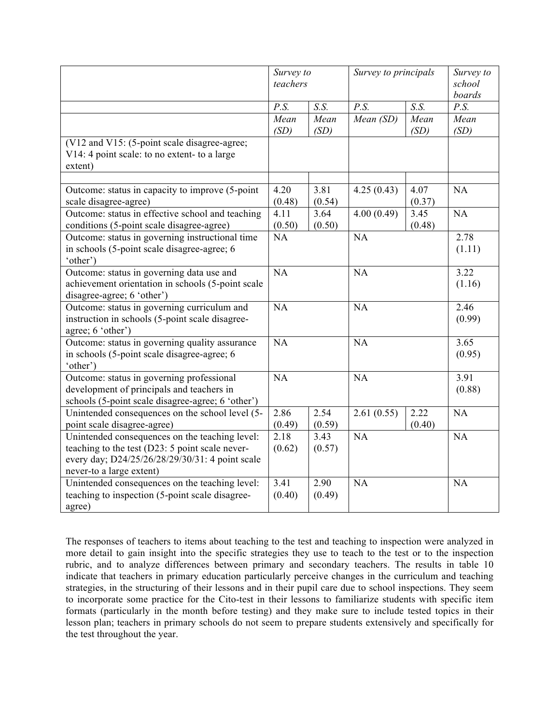|                                                                                                                                                                                  | Survey to<br>teachers |                | Survey to principals |                | Survey to<br>school<br>boards |
|----------------------------------------------------------------------------------------------------------------------------------------------------------------------------------|-----------------------|----------------|----------------------|----------------|-------------------------------|
|                                                                                                                                                                                  | P.S.                  | S.S.           | P.S.                 | S.S.           | P.S.                          |
|                                                                                                                                                                                  | Mean<br>(SD)          | Mean<br>(SD)   | Mean (SD)            | Mean<br>(SD)   | Mean<br>(SD)                  |
| (V12 and V15: (5-point scale disagree-agree;<br>V14: 4 point scale: to no extent- to a large<br>extent)                                                                          |                       |                |                      |                |                               |
|                                                                                                                                                                                  |                       |                |                      |                |                               |
| Outcome: status in capacity to improve (5-point<br>scale disagree-agree)                                                                                                         | 4.20<br>(0.48)        | 3.81<br>(0.54) | 4.25(0.43)           | 4.07<br>(0.37) | NA                            |
| Outcome: status in effective school and teaching<br>conditions (5-point scale disagree-agree)                                                                                    | 4.11<br>(0.50)        | 3.64<br>(0.50) | 4.00(0.49)           | 3.45<br>(0.48) | NA                            |
| Outcome: status in governing instructional time<br>in schools (5-point scale disagree-agree; 6<br>'other')                                                                       | NA                    |                | NA                   |                | 2.78<br>(1.11)                |
| Outcome: status in governing data use and<br>achievement orientation in schools (5-point scale<br>disagree-agree; 6 'other')                                                     | NA                    |                | NA                   |                | 3.22<br>(1.16)                |
| Outcome: status in governing curriculum and<br>instruction in schools (5-point scale disagree-<br>agree; 6 'other')                                                              | NA                    |                | NA                   |                | 2.46<br>(0.99)                |
| Outcome: status in governing quality assurance<br>in schools (5-point scale disagree-agree; 6<br>'other')                                                                        | NA                    |                | NA                   |                | 3.65<br>(0.95)                |
| Outcome: status in governing professional<br>development of principals and teachers in<br>schools (5-point scale disagree-agree; 6 'other')                                      | NA                    |                | NA                   |                | 3.91<br>(0.88)                |
| Unintended consequences on the school level (5-<br>point scale disagree-agree)                                                                                                   | 2.86<br>(0.49)        | 2.54<br>(0.59) | 2.61(0.55)           | 2.22<br>(0.40) | NA                            |
| Unintended consequences on the teaching level:<br>teaching to the test (D23: 5 point scale never-<br>every day; D24/25/26/28/29/30/31: 4 point scale<br>never-to a large extent) | 2.18<br>(0.62)        | 3.43<br>(0.57) | NA                   |                | NA                            |
| Unintended consequences on the teaching level:<br>teaching to inspection (5-point scale disagree-<br>agree)                                                                      | 3.41<br>(0.40)        | 2.90<br>(0.49) | NA                   |                | NA                            |

The responses of teachers to items about teaching to the test and teaching to inspection were analyzed in more detail to gain insight into the specific strategies they use to teach to the test or to the inspection rubric, and to analyze differences between primary and secondary teachers. The results in table 10 indicate that teachers in primary education particularly perceive changes in the curriculum and teaching strategies, in the structuring of their lessons and in their pupil care due to school inspections. They seem to incorporate some practice for the Cito-test in their lessons to familiarize students with specific item formats (particularly in the month before testing) and they make sure to include tested topics in their lesson plan; teachers in primary schools do not seem to prepare students extensively and specifically for the test throughout the year.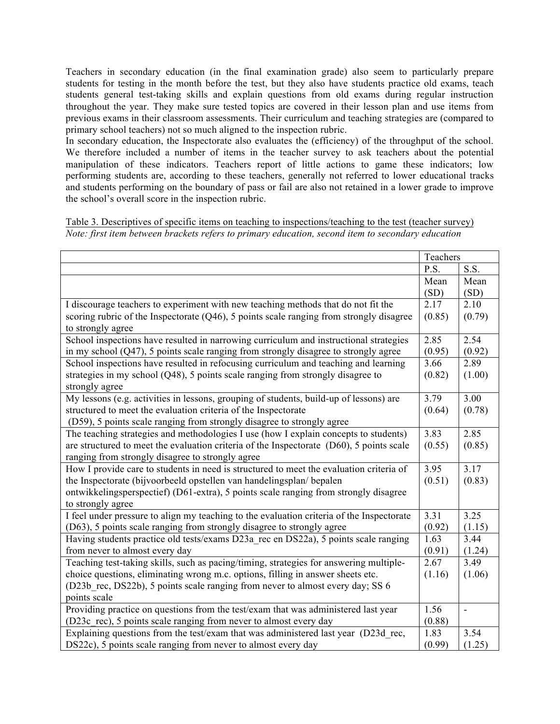Teachers in secondary education (in the final examination grade) also seem to particularly prepare students for testing in the month before the test, but they also have students practice old exams, teach students general test-taking skills and explain questions from old exams during regular instruction throughout the year. They make sure tested topics are covered in their lesson plan and use items from previous exams in their classroom assessments. Their curriculum and teaching strategies are (compared to primary school teachers) not so much aligned to the inspection rubric.

In secondary education, the Inspectorate also evaluates the (efficiency) of the throughput of the school. We therefore included a number of items in the teacher survey to ask teachers about the potential manipulation of these indicators. Teachers report of little actions to game these indicators; low performing students are, according to these teachers, generally not referred to lower educational tracks and students performing on the boundary of pass or fail are also not retained in a lower grade to improve the school's overall score in the inspection rubric.

Table 3. Descriptives of specific items on teaching to inspections/teaching to the test (teacher survey) *Note: first item between brackets refers to primary education, second item to secondary education*

|                                                                                            | Teachers |        |
|--------------------------------------------------------------------------------------------|----------|--------|
|                                                                                            | P.S.     | S.S.   |
|                                                                                            | Mean     | Mean   |
|                                                                                            | (SD)     | (SD)   |
| I discourage teachers to experiment with new teaching methods that do not fit the          | 2.17     | 2.10   |
| scoring rubric of the Inspectorate $(Q46)$ , 5 points scale ranging from strongly disagree | (0.85)   | (0.79) |
| to strongly agree                                                                          |          |        |
| School inspections have resulted in narrowing curriculum and instructional strategies      | 2.85     | 2.54   |
| in my school $(Q47)$ , 5 points scale ranging from strongly disagree to strongly agree     | (0.95)   | (0.92) |
| School inspections have resulted in refocusing curriculum and teaching and learning        | 3.66     | 2.89   |
| strategies in my school (Q48), 5 points scale ranging from strongly disagree to            | (0.82)   | (1.00) |
| strongly agree                                                                             |          |        |
| My lessons (e.g. activities in lessons, grouping of students, build-up of lessons) are     | 3.79     | 3.00   |
| structured to meet the evaluation criteria of the Inspectorate                             | (0.64)   | (0.78) |
| (D59), 5 points scale ranging from strongly disagree to strongly agree                     |          |        |
| The teaching strategies and methodologies I use (how I explain concepts to students)       | 3.83     | 2.85   |
| are structured to meet the evaluation criteria of the Inspectorate (D60), 5 points scale   | (0.55)   | (0.85) |
| ranging from strongly disagree to strongly agree                                           |          |        |
| How I provide care to students in need is structured to meet the evaluation criteria of    | 3.95     | 3.17   |
| the Inspectorate (bijvoorbeeld opstellen van handelingsplan/bepalen                        | (0.51)   | (0.83) |
| ontwikkelingsperspectief) (D61-extra), 5 points scale ranging from strongly disagree       |          |        |
| to strongly agree                                                                          |          |        |
| I feel under pressure to align my teaching to the evaluation criteria of the Inspectorate  | 3.31     | 3.25   |
| (D63), 5 points scale ranging from strongly disagree to strongly agree                     | (0.92)   | (1.15) |
| Having students practice old tests/exams D23a rec en DS22a), 5 points scale ranging        | 1.63     | 3.44   |
| from never to almost every day                                                             | (0.91)   | (1.24) |
| Teaching test-taking skills, such as pacing/timing, strategies for answering multiple-     | 2.67     | 3.49   |
| choice questions, eliminating wrong m.c. options, filling in answer sheets etc.            | (1.16)   | (1.06) |
| (D23b rec, DS22b), 5 points scale ranging from never to almost every day; SS 6             |          |        |
| points scale                                                                               |          |        |
| Providing practice on questions from the test/exam that was administered last year         | 1.56     |        |
| (D23c rec), 5 points scale ranging from never to almost every day                          | (0.88)   |        |
| Explaining questions from the test/exam that was administered last year (D23d_rec,         | 1.83     | 3.54   |
| DS22c), 5 points scale ranging from never to almost every day                              | (0.99)   | (1.25) |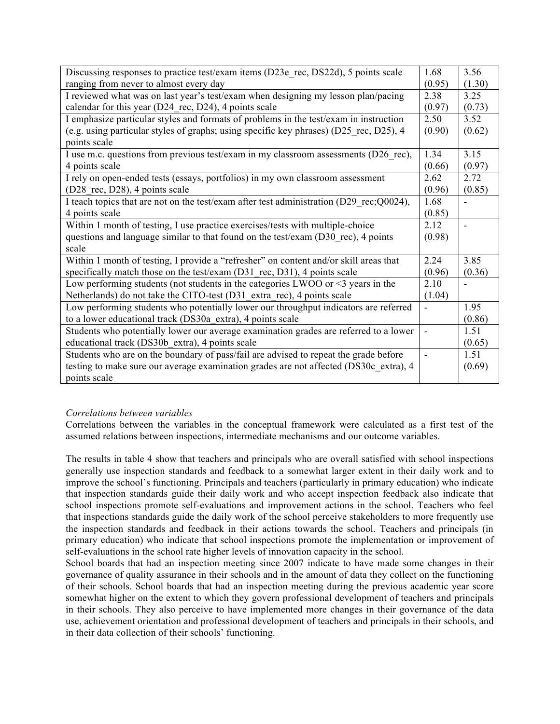| Discussing responses to practice test/exam items (D23e rec, DS22d), 5 points scale       | 1.68           | 3.56           |
|------------------------------------------------------------------------------------------|----------------|----------------|
| ranging from never to almost every day                                                   | (0.95)         | (1.30)         |
| I reviewed what was on last year's test/exam when designing my lesson plan/pacing        | 2.38           | 3.25           |
| calendar for this year (D24 rec, D24), 4 points scale                                    | (0.97)         | (0.73)         |
| I emphasize particular styles and formats of problems in the test/exam in instruction    | 2.50           | 3.52           |
| (e.g. using particular styles of graphs; using specific key phrases) (D25 rec, D25), 4   | (0.90)         | (0.62)         |
| points scale                                                                             |                |                |
| I use m.c. questions from previous test/exam in my classroom assessments (D26 rec),      | 1.34           | 3.15           |
| 4 points scale                                                                           | (0.66)         | (0.97)         |
| I rely on open-ended tests (essays, portfolios) in my own classroom assessment           | 2.62           | 2.72           |
| (D28 rec, D28), 4 points scale                                                           | (0.96)         | (0.85)         |
| I teach topics that are not on the test/exam after test administration (D29 rec; Q0024), | 1.68           |                |
| 4 points scale                                                                           | (0.85)         |                |
| Within 1 month of testing, I use practice exercises/tests with multiple-choice           | 2.12           | $\overline{a}$ |
| questions and language similar to that found on the test/exam (D30 rec), 4 points        | (0.98)         |                |
| scale                                                                                    |                |                |
| Within 1 month of testing, I provide a "refresher" on content and/or skill areas that    | 2.24           | 3.85           |
| specifically match those on the test/exam (D31 rec, D31), 4 points scale                 | (0.96)         | (0.36)         |
| Low performing students (not students in the categories LWOO or $\leq$ 3 years in the    | 2.10           |                |
| Netherlands) do not take the CITO-test (D31 extra rec), 4 points scale                   | (1.04)         |                |
| Low performing students who potentially lower our throughput indicators are referred     |                | 1.95           |
| to a lower educational track (DS30a_extra), 4 points scale                               |                | (0.86)         |
| Students who potentially lower our average examination grades are referred to a lower    | ä,             | 1.51           |
| educational track (DS30b extra), 4 points scale                                          |                | (0.65)         |
| Students who are on the boundary of pass/fail are advised to repeat the grade before     | $\overline{a}$ | 1.51           |
| testing to make sure our average examination grades are not affected (DS30c_extra), 4    |                | (0.69)         |
| points scale                                                                             |                |                |

## *Correlations between variables*

Correlations between the variables in the conceptual framework were calculated as a first test of the assumed relations between inspections, intermediate mechanisms and our outcome variables.

The results in table 4 show that teachers and principals who are overall satisfied with school inspections generally use inspection standards and feedback to a somewhat larger extent in their daily work and to improve the school's functioning. Principals and teachers (particularly in primary education) who indicate that inspection standards guide their daily work and who accept inspection feedback also indicate that school inspections promote self-evaluations and improvement actions in the school. Teachers who feel that inspections standards guide the daily work of the school perceive stakeholders to more frequently use the inspection standards and feedback in their actions towards the school. Teachers and principals (in primary education) who indicate that school inspections promote the implementation or improvement of self-evaluations in the school rate higher levels of innovation capacity in the school.

School boards that had an inspection meeting since 2007 indicate to have made some changes in their governance of quality assurance in their schools and in the amount of data they collect on the functioning of their schools. School boards that had an inspection meeting during the previous academic year score somewhat higher on the extent to which they govern professional development of teachers and principals in their schools. They also perceive to have implemented more changes in their governance of the data use, achievement orientation and professional development of teachers and principals in their schools, and in their data collection of their schools' functioning.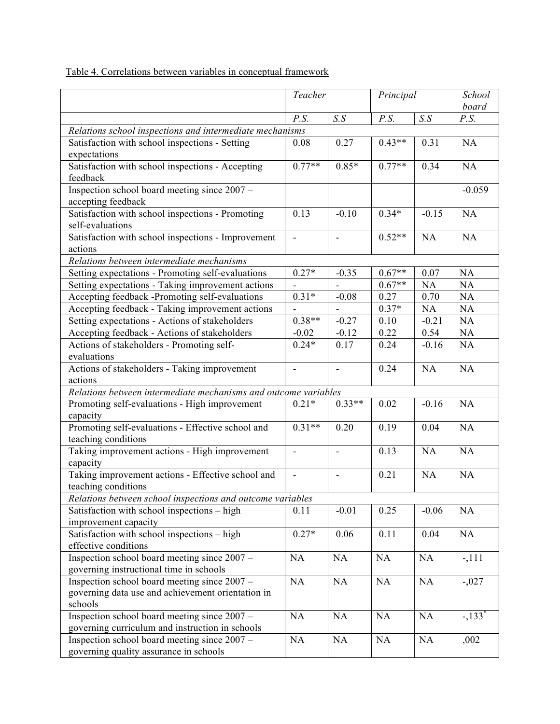|                                                                                                   | Teacher        |                          | Principal |         | School<br>board     |
|---------------------------------------------------------------------------------------------------|----------------|--------------------------|-----------|---------|---------------------|
|                                                                                                   | P.S.           | S.S                      | P.S.      | S.S     | P.S.                |
| Relations school inspections and intermediate mechanisms                                          |                |                          |           |         |                     |
| Satisfaction with school inspections - Setting<br>expectations                                    | 0.08           | 0.27                     | $0.43**$  | 0.31    | NA                  |
| Satisfaction with school inspections - Accepting<br>feedback                                      | $0.77**$       | $0.85*$                  | $0.77**$  | 0.34    | NA                  |
| Inspection school board meeting since 2007 -<br>accepting feedback                                |                |                          |           |         | $-0.059$            |
| Satisfaction with school inspections - Promoting<br>self-evaluations                              | 0.13           | $-0.10$                  | $0.34*$   | $-0.15$ | NA                  |
| Satisfaction with school inspections - Improvement<br>actions                                     | ÷,             | $\overline{\phantom{a}}$ | $0.52**$  | NA      | NA                  |
| Relations between intermediate mechanisms                                                         |                |                          |           |         |                     |
| Setting expectations - Promoting self-evaluations                                                 | $0.27*$        | $-0.35$                  | $0.67**$  | 0.07    | NA                  |
| Setting expectations - Taking improvement actions                                                 |                |                          | $0.67**$  | NA      | NA                  |
| Accepting feedback -Promoting self-evaluations                                                    | $0.31*$        | $-0.08$                  | 0.27      | 0.70    | NA                  |
| Accepting feedback - Taking improvement actions                                                   |                |                          | $0.37*$   | NA      | NA                  |
| Setting expectations - Actions of stakeholders                                                    | $0.38**$       | $-0.27$                  | $0.10\,$  | $-0.21$ | NA                  |
| Accepting feedback - Actions of stakeholders                                                      | $-0.02$        | $-0.12$                  | 0.22      | 0.54    | NA                  |
| Actions of stakeholders - Promoting self-<br>evaluations                                          | $0.24*$        | 0.17                     | 0.24      | $-0.16$ | NA                  |
| Actions of stakeholders - Taking improvement<br>actions                                           | ÷,             | $\overline{\phantom{a}}$ | 0.24      | NA      | NA                  |
| Relations between intermediate mechanisms and outcome variables                                   |                |                          |           |         |                     |
| Promoting self-evaluations - High improvement<br>capacity                                         | $0.21*$        | $0.33**$                 | 0.02      | $-0.16$ | NA                  |
| Promoting self-evaluations - Effective school and<br>teaching conditions                          | $0.31**$       | 0.20                     | 0.19      | 0.04    | NA                  |
| Taking improvement actions - High improvement<br>capacity                                         | $\blacksquare$ | $\overline{\phantom{a}}$ | 0.13      | NA      | NA                  |
| Taking improvement actions - Effective school and<br>teaching conditions                          | ä,             |                          | 0.21      | NA      | <b>NA</b>           |
| Relations between school inspections and outcome variables                                        |                |                          |           |         |                     |
| Satisfaction with school inspections – high<br>improvement capacity                               | 0.11           | $-0.01$                  | 0.25      | $-0.06$ | NA                  |
| Satisfaction with school inspections - high<br>effective conditions                               | $0.27*$        | 0.06                     | 0.11      | 0.04    | NA                  |
| Inspection school board meeting since 2007 -                                                      | NA             | NA                       | NA        | NA      | $-, 111$            |
| governing instructional time in schools                                                           | NA             |                          | NA        |         |                     |
| Inspection school board meeting since 2007 -<br>governing data use and achievement orientation in |                | NA                       |           | NA      | $-0.027$            |
| schools                                                                                           |                |                          |           |         |                     |
| Inspection school board meeting since 2007 –<br>governing curriculum and instruction in schools   | NA             | NA                       | NA        | NA      | $-133$ <sup>*</sup> |
| Inspection school board meeting since 2007 -<br>governing quality assurance in schools            | NA             | NA                       | NA        | NA      | ,002                |

Table 4. Correlations between variables in conceptual framework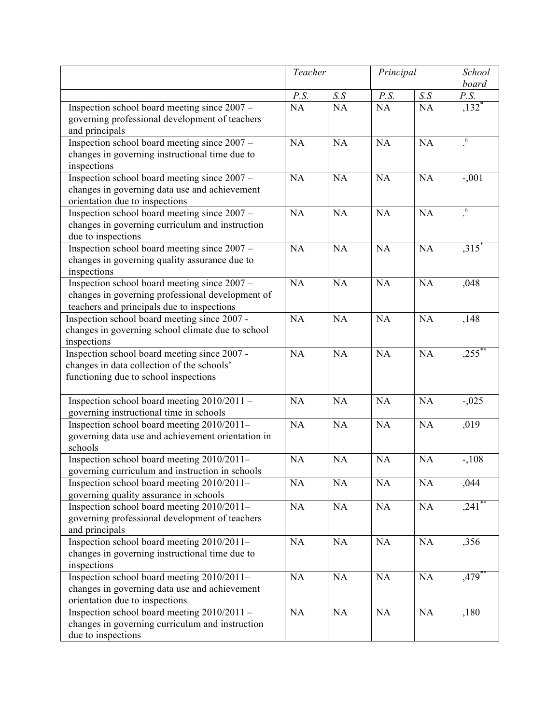|                                                   | Teacher |       | Principal |           | School              |
|---------------------------------------------------|---------|-------|-----------|-----------|---------------------|
|                                                   |         |       |           |           | board               |
|                                                   | P.S.    | $S.S$ | P.S.      | S.S       | P.S.                |
| Inspection school board meeting since 2007 -      | NA      | NA    | NA        | NA        | $,132*$             |
| governing professional development of teachers    |         |       |           |           |                     |
| and principals                                    |         |       |           |           |                     |
| Inspection school board meeting since 2007 -      | NA      | NA    | NA        | <b>NA</b> | $\rm{a}$            |
| changes in governing instructional time due to    |         |       |           |           |                     |
| inspections                                       |         |       |           |           |                     |
| Inspection school board meeting since 2007 -      | NA      | NA    | NA        | NA        | $-.001$             |
| changes in governing data use and achievement     |         |       |           |           |                     |
| orientation due to inspections                    |         |       |           |           |                     |
| Inspection school board meeting since 2007 -      | NA      | NA    | NA        | NA        | a                   |
| changes in governing curriculum and instruction   |         |       |           |           |                     |
| due to inspections                                |         |       |           |           |                     |
| Inspection school board meeting since 2007 -      | NA      | NA    | NA        | NA        | $,315$ <sup>*</sup> |
| changes in governing quality assurance due to     |         |       |           |           |                     |
| inspections                                       |         |       |           |           |                     |
| Inspection school board meeting since 2007 -      | NA      | NA    | NA        | <b>NA</b> | ,048                |
| changes in governing professional development of  |         |       |           |           |                     |
| teachers and principals due to inspections        |         |       |           |           |                     |
| Inspection school board meeting since 2007 -      | NA      | NA    | <b>NA</b> | NA        | ,148                |
| changes in governing school climate due to school |         |       |           |           |                     |
| inspections                                       |         |       |           |           |                     |
| Inspection school board meeting since 2007 -      | NA      | NA    | NA        | NA        | $,255$ <sup>*</sup> |
| changes in data collection of the schools'        |         |       |           |           |                     |
| functioning due to school inspections             |         |       |           |           |                     |
|                                                   |         |       |           |           |                     |
| Inspection school board meeting 2010/2011 -       | NA      | NA    | <b>NA</b> | NA        | $-0.025$            |
| governing instructional time in schools           |         |       |           |           |                     |
| Inspection school board meeting 2010/2011-        | NA      | NA    | NA        | NA        | ,019                |
| governing data use and achievement orientation in |         |       |           |           |                     |
| schools                                           |         |       |           |           |                     |
| Inspection school board meeting 2010/2011-        | NA      | NA    | <b>NA</b> | <b>NA</b> | $-108$              |
| governing curriculum and instruction in schools   |         |       |           |           |                     |
| Inspection school board meeting 2010/2011-        | NA      | NA    | NA        | NA        | ,044                |
| governing quality assurance in schools            |         |       |           |           |                     |
| Inspection school board meeting 2010/2011-        | NA      | NA    | <b>NA</b> | NA        | $,241$ <sup>*</sup> |
| governing professional development of teachers    |         |       |           |           |                     |
| and principals                                    |         |       |           |           |                     |
| Inspection school board meeting 2010/2011-        | NA      | NA    | NA        | NA        | ,356                |
| changes in governing instructional time due to    |         |       |           |           |                     |
| inspections                                       |         |       |           |           |                     |
| Inspection school board meeting 2010/2011-        | NA      | NA    | NA        | NA        | $,479$ <sup>*</sup> |
| changes in governing data use and achievement     |         |       |           |           |                     |
| orientation due to inspections                    | NA      | NA    |           |           |                     |
| Inspection school board meeting 2010/2011 -       |         |       | NA        | NA        | ,180                |
| changes in governing curriculum and instruction   |         |       |           |           |                     |
| due to inspections                                |         |       |           |           |                     |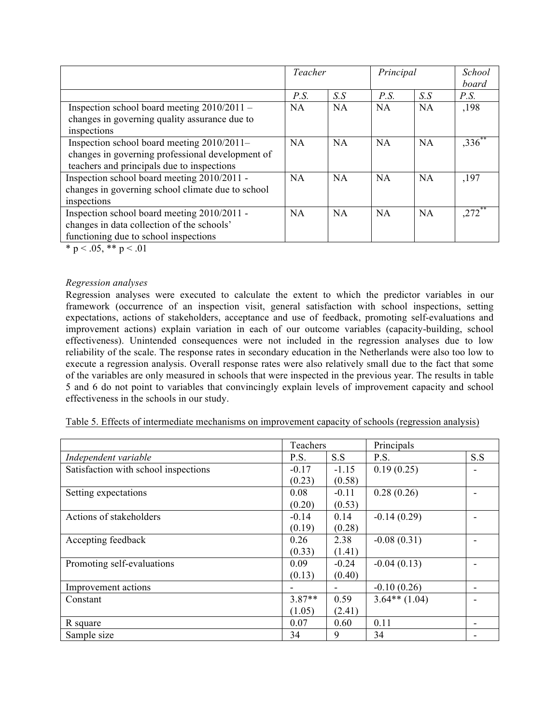|                                                                                                                                              | Teacher |           | Principal |           | <b>School</b><br>board |
|----------------------------------------------------------------------------------------------------------------------------------------------|---------|-----------|-----------|-----------|------------------------|
|                                                                                                                                              | P.S.    | S.S       | P.S.      | S.S       | P.S.                   |
| Inspection school board meeting $2010/2011 -$<br>changes in governing quality assurance due to<br>inspections                                | NA      | <b>NA</b> | <b>NA</b> | NA        | ,198                   |
| Inspection school board meeting 2010/2011-<br>changes in governing professional development of<br>teachers and principals due to inspections | NA      | <b>NA</b> | <b>NA</b> | NA        | $,336$ **              |
| Inspection school board meeting 2010/2011 -<br>changes in governing school climate due to school<br>inspections                              | NA      | <b>NA</b> | <b>NA</b> | <b>NA</b> | ,197                   |
| Inspection school board meeting 2010/2011 -<br>changes in data collection of the schools'<br>functioning due to school inspections           | NA      | NA        | NA        | NA        | $272$ <sup>*</sup>     |

\* p < .05, \*\* p < .01

#### *Regression analyses*

Regression analyses were executed to calculate the extent to which the predictor variables in our framework (occurrence of an inspection visit, general satisfaction with school inspections, setting expectations, actions of stakeholders, acceptance and use of feedback, promoting self-evaluations and improvement actions) explain variation in each of our outcome variables (capacity-building, school effectiveness). Unintended consequences were not included in the regression analyses due to low reliability of the scale. The response rates in secondary education in the Netherlands were also too low to execute a regression analysis. Overall response rates were also relatively small due to the fact that some of the variables are only measured in schools that were inspected in the previous year. The results in table 5 and 6 do not point to variables that convincingly explain levels of improvement capacity and school effectiveness in the schools in our study.

|  | Table 5. Effects of intermediate mechanisms on improvement capacity of schools (regression analysis) |  |  |  |  |  |
|--|------------------------------------------------------------------------------------------------------|--|--|--|--|--|
|--|------------------------------------------------------------------------------------------------------|--|--|--|--|--|

|                                      | Teachers |         | Principals      |     |
|--------------------------------------|----------|---------|-----------------|-----|
| Independent variable                 | P.S.     | S.S     | P.S.            | S.S |
| Satisfaction with school inspections | $-0.17$  | $-1.15$ | 0.19(0.25)      |     |
|                                      | (0.23)   | (0.58)  |                 |     |
| Setting expectations                 | 0.08     | $-0.11$ | 0.28(0.26)      |     |
|                                      | (0.20)   | (0.53)  |                 |     |
| Actions of stakeholders              | $-0.14$  | 0.14    | $-0.14(0.29)$   |     |
|                                      | (0.19)   | (0.28)  |                 |     |
| Accepting feedback                   | 0.26     | 2.38    | $-0.08(0.31)$   |     |
|                                      | (0.33)   | (1.41)  |                 |     |
| Promoting self-evaluations           | 0.09     | $-0.24$ | $-0.04(0.13)$   |     |
|                                      | (0.13)   | (0.40)  |                 |     |
| Improvement actions                  |          |         | $-0.10(0.26)$   |     |
| Constant                             | $3.87**$ | 0.59    | $3.64**$ (1.04) |     |
|                                      | (1.05)   | (2.41)  |                 |     |
| R square                             | 0.07     | 0.60    | 0.11            |     |
| Sample size                          | 34       | 9       | 34              |     |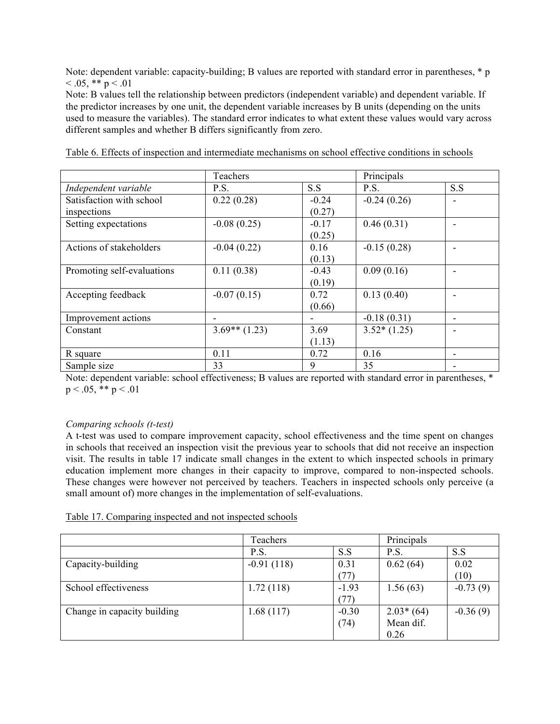Note: dependent variable: capacity-building; B values are reported with standard error in parentheses, \* p  $< 0.05$ , \*\* p  $< 0.01$ 

Note: B values tell the relationship between predictors (independent variable) and dependent variable. If the predictor increases by one unit, the dependent variable increases by B units (depending on the units used to measure the variables). The standard error indicates to what extent these values would vary across different samples and whether B differs significantly from zero.

|                            | Teachers        |         | Principals    |     |
|----------------------------|-----------------|---------|---------------|-----|
| Independent variable       | P.S.            | S.S     | P.S.          | S.S |
| Satisfaction with school   | 0.22(0.28)      | $-0.24$ | $-0.24(0.26)$ |     |
| inspections                |                 | (0.27)  |               |     |
| Setting expectations       | $-0.08(0.25)$   | $-0.17$ | 0.46(0.31)    |     |
|                            |                 | (0.25)  |               |     |
| Actions of stakeholders    | $-0.04(0.22)$   | 0.16    | $-0.15(0.28)$ |     |
|                            |                 | (0.13)  |               |     |
| Promoting self-evaluations | 0.11(0.38)      | $-0.43$ | 0.09(0.16)    |     |
|                            |                 | (0.19)  |               |     |
| Accepting feedback         | $-0.07(0.15)$   | 0.72    | 0.13(0.40)    |     |
|                            |                 | (0.66)  |               |     |
| Improvement actions        |                 |         | $-0.18(0.31)$ |     |
| Constant                   | $3.69**$ (1.23) | 3.69    | $3.52*(1.25)$ |     |
|                            |                 | (1.13)  |               |     |
| R square                   | 0.11            | 0.72    | 0.16          |     |
| Sample size                | 33              | 9       | 35            |     |

Table 6. Effects of inspection and intermediate mechanisms on school effective conditions in schools

Note: dependent variable: school effectiveness; B values are reported with standard error in parentheses, \*  $p < .05$ , \*\*  $p < .01$ 

## *Comparing schools (t-test)*

A t-test was used to compare improvement capacity, school effectiveness and the time spent on changes in schools that received an inspection visit the previous year to schools that did not receive an inspection visit. The results in table 17 indicate small changes in the extent to which inspected schools in primary education implement more changes in their capacity to improve, compared to non-inspected schools. These changes were however not perceived by teachers. Teachers in inspected schools only perceive (a small amount of) more changes in the implementation of self-evaluations.

| Table 17. Comparing inspected and not inspected schools |  |
|---------------------------------------------------------|--|
|---------------------------------------------------------|--|

|                             | Teachers     | Principals |             |            |
|-----------------------------|--------------|------------|-------------|------------|
|                             | P.S.         | S.S        | P.S.        | S.S        |
| Capacity-building           | $-0.91(118)$ | 0.31       | 0.62(64)    | 0.02       |
|                             |              | (77)       |             | (10)       |
| School effectiveness        | 1.72(118)    | $-1.93$    | 1.56(63)    | $-0.73(9)$ |
|                             |              | (77)       |             |            |
| Change in capacity building | 1.68(117)    | $-0.30$    | $2.03*(64)$ | $-0.36(9)$ |
|                             |              | (74)       | Mean dif.   |            |
|                             |              |            | 0.26        |            |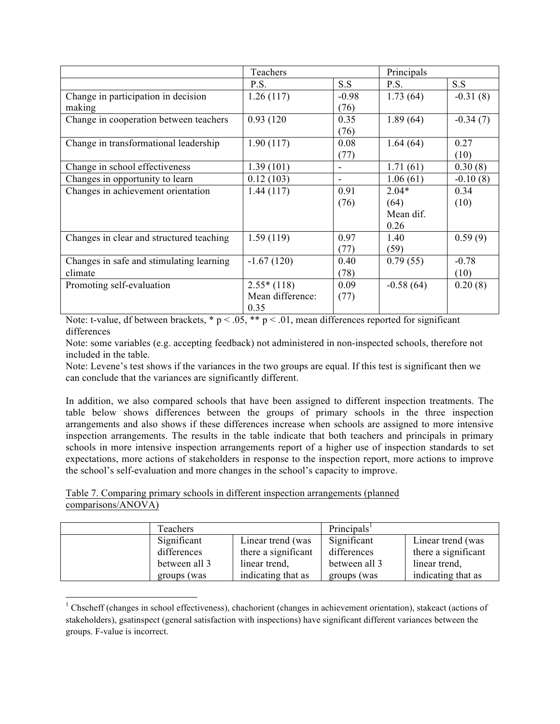|                                          | Teachers         |         | Principals  |            |
|------------------------------------------|------------------|---------|-------------|------------|
|                                          | P.S.             | S.S     | P.S.        | S.S        |
| Change in participation in decision      | 1.26(117)        | $-0.98$ | 1.73(64)    | $-0.31(8)$ |
| making                                   |                  | (76)    |             |            |
| Change in cooperation between teachers   | 0.93(120)        | 0.35    | 1.89(64)    | $-0.34(7)$ |
|                                          |                  | (76)    |             |            |
| Change in transformational leadership    | 1.90(117)        | 0.08    | 1.64(64)    | 0.27       |
|                                          |                  | (77)    |             | (10)       |
| Change in school effectiveness           | 1.39(101)        |         | 1.71(61)    | 0.30(8)    |
| Changes in opportunity to learn          | 0.12(103)        | -       | 1.06(61)    | $-0.10(8)$ |
| Changes in achievement orientation       | 1.44(117)        | 0.91    | $2.04*$     | 0.34       |
|                                          |                  | (76)    | (64)        | (10)       |
|                                          |                  |         | Mean dif.   |            |
|                                          |                  |         | 0.26        |            |
| Changes in clear and structured teaching | 1.59(119)        | 0.97    | 1.40        | 0.59(9)    |
|                                          |                  | (77)    | (59)        |            |
| Changes in safe and stimulating learning | $-1.67(120)$     | 0.40    | 0.79(55)    | $-0.78$    |
| climate                                  |                  | (78)    |             | (10)       |
| Promoting self-evaluation                | $2.55*(118)$     | 0.09    | $-0.58(64)$ | 0.20(8)    |
|                                          | Mean difference: | (77)    |             |            |
|                                          | 0.35             |         |             |            |

Note: t-value, df between brackets,  $* p < .05$ ,  $** p < .01$ , mean differences reported for significant differences

Note: some variables (e.g. accepting feedback) not administered in non-inspected schools, therefore not included in the table.

Note: Levene's test shows if the variances in the two groups are equal. If this test is significant then we can conclude that the variances are significantly different.

In addition, we also compared schools that have been assigned to different inspection treatments. The table below shows differences between the groups of primary schools in the three inspection arrangements and also shows if these differences increase when schools are assigned to more intensive inspection arrangements. The results in the table indicate that both teachers and principals in primary schools in more intensive inspection arrangements report of a higher use of inspection standards to set expectations, more actions of stakeholders in response to the inspection report, more actions to improve the school's self-evaluation and more changes in the school's capacity to improve.

Table 7. Comparing primary schools in different inspection arrangements (planned comparisons/ANOVA)

<u> 1989 - Jan Samuel Barbara, político establecido de la provincia de la provincia de la provincia de la provinci</u>

| Teachers      |                     | Principals <sup>1</sup> |                     |  |
|---------------|---------------------|-------------------------|---------------------|--|
| Significant   | Linear trend (was   | Significant             | Linear trend (was   |  |
| differences   | there a significant | differences             | there a significant |  |
| between all 3 | linear trend,       | between all 3           | linear trend,       |  |
| groups (was   | indicating that as  | groups (was             | indicating that as  |  |

<sup>&</sup>lt;sup>1</sup> Chscheff (changes in school effectiveness), chachorient (changes in achievement orientation), stakeact (actions of stakeholders), gsatinspect (general satisfaction with inspections) have significant different variances between the groups. F-value is incorrect.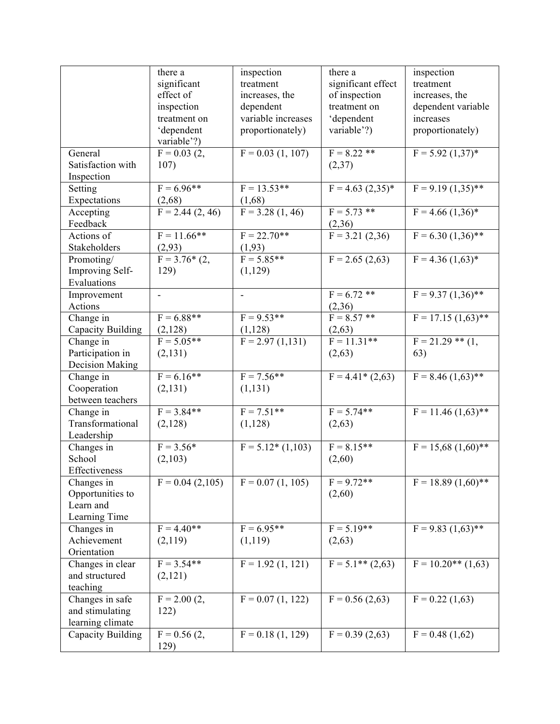|                   | there a            | inspection         | there a             | inspection            |
|-------------------|--------------------|--------------------|---------------------|-----------------------|
|                   | significant        | treatment          | significant effect  | treatment             |
|                   | effect of          | increases, the     | of inspection       | increases, the        |
|                   | inspection         | dependent          | treatment on        | dependent variable    |
|                   | treatment on       | variable increases | 'dependent          | increases             |
|                   | 'dependent         | proportionately)   | variable'?)         | proportionately)      |
|                   | variable'?)        |                    |                     |                       |
| General           | $F = 0.03$ (2,     | $F = 0.03(1, 107)$ | $F = 8.22$ **       | $F = 5.92 (1,37)^*$   |
| Satisfaction with | 107)               |                    | (2,37)              |                       |
| Inspection        |                    |                    |                     |                       |
| Setting           | $F = 6.96**$       | $F = 13.53**$      | $F = 4.63 (2,35)^*$ | $F = 9.19(1,35)$ **   |
| Expectations      | (2,68)             | (1,68)             |                     |                       |
| Accepting         | $F = 2.44(2, 46)$  | $F = 3.28(1, 46)$  | $F = 5.73$ **       | $F = 4.66 (1,36)^*$   |
| Feedback          |                    |                    | (2,36)              |                       |
| Actions of        | $F = 11.66$ **     | $F = 22.70**$      | $F = 3.21(2,36)$    | $F = 6.30 (1,36)$ **  |
| Stakeholders      | (2,93)             | (1, 93)            |                     |                       |
| Promoting/        | $F = 3.76*(2,$     | $F = 5.85**$       | $F = 2.65(2,63)$    | $F = 4.36 (1,63)^*$   |
| Improving Self-   | 129)               | (1,129)            |                     |                       |
| Evaluations       |                    |                    |                     |                       |
| Improvement       | $\overline{a}$     | ÷,                 | $F = 6.72$ **       | $F = 9.37 (1,36)$ **  |
| Actions           |                    |                    | (2,36)              |                       |
| Change in         | $F = 6.88**$       | $F = 9.53**$       | $F = 8.57$ **       | $F = 17.15(1.63)$ **  |
| Capacity Building | (2,128)            | (1,128)            | (2,63)              |                       |
| Change in         | $F = 5.05**$       | $F = 2.97(1,131)$  | $F = 11.31**$       | $F = 21.29$ ** $(1,$  |
| Participation in  | (2, 131)           |                    | (2,63)              | 63)                   |
| Decision Making   |                    |                    |                     |                       |
| Change in         | $F = 6.16**$       | $F = 7.56**$       | $F = 4.41*(2,63)$   | $F = 8.46 (1,63)$ **  |
| Cooperation       | (2, 131)           | (1, 131)           |                     |                       |
| between teachers  |                    |                    |                     |                       |
| Change in         | $F = 3.84**$       | $F = 7.51**$       | $F = 5.74**$        | $F = 11.46 (1.63)$ ** |
| Transformational  | (2,128)            | (1,128)            | (2,63)              |                       |
| Leadership        |                    |                    |                     |                       |
| Changes in        | $F = 3.56*$        | $F = 5.12*(1,103)$ | $F = 8.15**$        | $F = 15,68(1,60)$ **  |
| School            | (2,103)            |                    | (2,60)              |                       |
| Effectiveness     |                    |                    |                     |                       |
| Changes in        | $F = 0.04$ (2,105) | $F = 0.07(1, 105)$ | $F = 9.72**$        | $F = 18.89(1,60)$ **  |
| Opportunities to  |                    |                    | (2,60)              |                       |
| Learn and         |                    |                    |                     |                       |
| Learning Time     |                    |                    |                     |                       |
| Changes in        | $F = 4.40**$       | $F = 6.95**$       | $F = 5.19**$        | $F = 9.83 (1,63)$ **  |
| Achievement       | (2,119)            | (1,119)            | (2,63)              |                       |
| Orientation       |                    |                    |                     |                       |
| Changes in clear  | $F = 3.54**$       | $F = 1.92(1, 121)$ | $F = 5.1** (2,63)$  | $F = 10.20**$ (1,63)  |
| and structured    | (2,121)            |                    |                     |                       |
| teaching          |                    |                    |                     |                       |
| Changes in safe   | $F = 2.00(2,$      | $F = 0.07(1, 122)$ | $F = 0.56(2,63)$    | $F = 0.22$ (1,63)     |
| and stimulating   | 122)               |                    |                     |                       |
| learning climate  |                    |                    |                     |                       |
| Capacity Building | $F = 0.56$ (2,     | $F = 0.18(1, 129)$ | $F = 0.39(2,63)$    | $F = 0.48(1,62)$      |
|                   | 129)               |                    |                     |                       |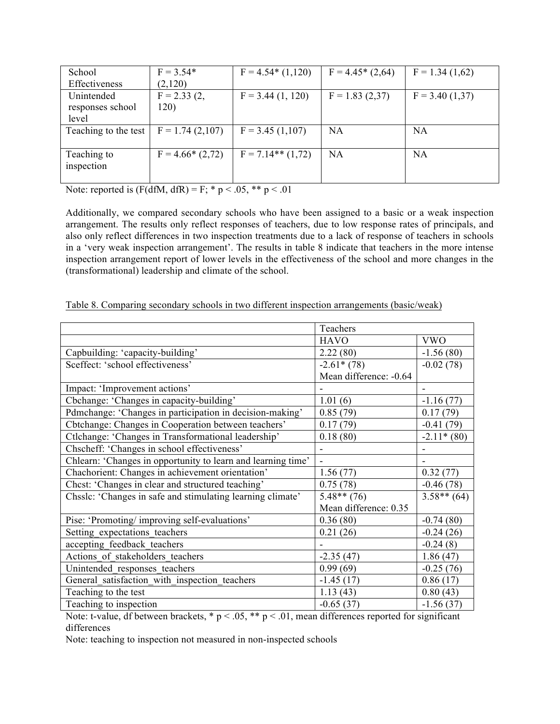| School               | $F = 3.54*$       | $F = 4.54*(1,120)$  | $F = 4.45*(2,64)$ | $F = 1.34(1,62)$ |
|----------------------|-------------------|---------------------|-------------------|------------------|
| Effectiveness        | (2,120)           |                     |                   |                  |
| Unintended           | $F = 2.33(2,$     | $F = 3.44(1, 120)$  | $F = 1.83(2,37)$  | $F = 3.40(1,37)$ |
| responses school     | 120)              |                     |                   |                  |
| level                |                   |                     |                   |                  |
| Teaching to the test | $F = 1.74(2,107)$ | $F = 3.45(1,107)$   | NA                | NA               |
|                      |                   |                     |                   |                  |
| Teaching to          | $F = 4.66*(2,72)$ | $F = 7.14**$ (1,72) | <b>NA</b>         | <b>NA</b>        |
| inspection           |                   |                     |                   |                  |
|                      |                   |                     |                   |                  |

Note: reported is  $(F(dfM, dfR) = F; * p < .05, ** p < .01$ 

Additionally, we compared secondary schools who have been assigned to a basic or a weak inspection arrangement. The results only reflect responses of teachers, due to low response rates of principals, and also only reflect differences in two inspection treatments due to a lack of response of teachers in schools in a 'very weak inspection arrangement'. The results in table 8 indicate that teachers in the more intense inspection arrangement report of lower levels in the effectiveness of the school and more changes in the (transformational) leadership and climate of the school.

|                                                              | Teachers               |               |
|--------------------------------------------------------------|------------------------|---------------|
|                                                              | <b>HAVO</b>            | <b>VWO</b>    |
| Capbuilding: 'capacity-building'                             | 2.22(80)               | $-1.56(80)$   |
| Sceffect: 'school effectiveness'                             | $-2.61*(78)$           | $-0.02(78)$   |
|                                                              | Mean difference: -0.64 |               |
| Impact: 'Improvement actions'                                |                        |               |
| Cbchange: 'Changes in capacity-building'                     | 1.01(6)                | $-1.16(77)$   |
| Pdmchange: 'Changes in participation in decision-making'     | 0.85(79)               | 0.17(79)      |
| Cbtchange: Changes in Cooperation between teachers'          | 0.17(79)               | $-0.41(79)$   |
| Ctlchange: 'Changes in Transformational leadership'          | 0.18(80)               | $-2.11*(80)$  |
| Chscheff: 'Changes in school effectiveness'                  |                        |               |
| Chlearn: 'Changes in opportunity to learn and learning time' | ÷,                     |               |
| Chachorient: Changes in achievement orientation'             | 1.56(77)               | 0.32(77)      |
| Chest: 'Changes in clear and structured teaching'            | 0.75(78)               | $-0.46(78)$   |
| Chsslc: 'Changes in safe and stimulating learning climate'   | $5.48**$ (76)          | $3.58**$ (64) |
|                                                              | Mean difference: 0.35  |               |
| Pise: 'Promoting/ improving self-evaluations'                | 0.36(80)               | $-0.74(80)$   |
| Setting expectations teachers                                | 0.21(26)               | $-0.24(26)$   |
| accepting_feedback_teachers                                  |                        | $-0.24(8)$    |
| Actions of stakeholders teachers                             | $-2.35(47)$            | 1.86(47)      |
| Unintended responses teachers                                | 0.99(69)               | $-0.25(76)$   |
| General satisfaction with inspection teachers                | $-1.45(17)$            | 0.86(17)      |
| Teaching to the test                                         | 1.13(43)               | 0.80(43)      |
| Teaching to inspection                                       | $-0.65(37)$            | $-1.56(37)$   |

Table 8. Comparing secondary schools in two different inspection arrangements (basic/weak)

Note: t-value, df between brackets, \*  $p < .05$ , \*\*  $p < .01$ , mean differences reported for significant differences

Note: teaching to inspection not measured in non-inspected schools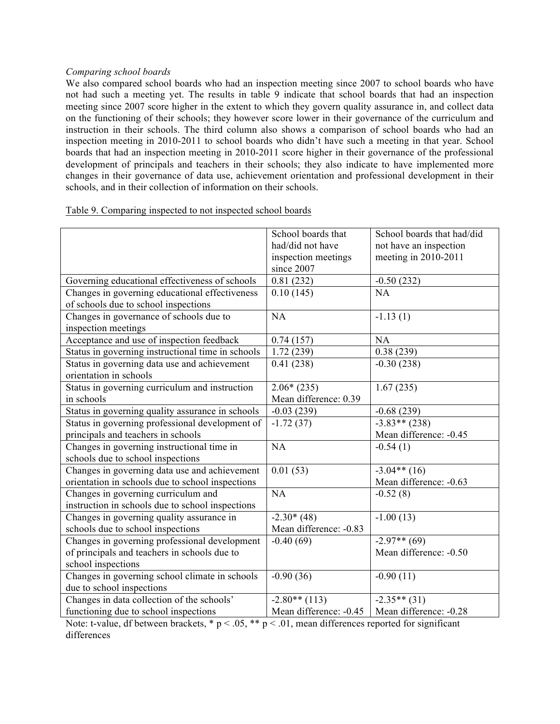#### *Comparing school boards*

We also compared school boards who had an inspection meeting since 2007 to school boards who have not had such a meeting yet. The results in table 9 indicate that school boards that had an inspection meeting since 2007 score higher in the extent to which they govern quality assurance in, and collect data on the functioning of their schools; they however score lower in their governance of the curriculum and instruction in their schools. The third column also shows a comparison of school boards who had an inspection meeting in 2010-2011 to school boards who didn't have such a meeting in that year. School boards that had an inspection meeting in 2010-2011 score higher in their governance of the professional development of principals and teachers in their schools; they also indicate to have implemented more changes in their governance of data use, achievement orientation and professional development in their schools, and in their collection of information on their schools.

|                                                   | School boards that     | School boards that had/did |
|---------------------------------------------------|------------------------|----------------------------|
|                                                   | had/did not have       | not have an inspection     |
|                                                   | inspection meetings    | meeting in 2010-2011       |
|                                                   | since 2007             |                            |
| Governing educational effectiveness of schools    | 0.81(232)              | $-0.50(232)$               |
| Changes in governing educational effectiveness    | 0.10(145)              | NA                         |
| of schools due to school inspections              |                        |                            |
| Changes in governance of schools due to           | NA                     | $-1.13(1)$                 |
| inspection meetings                               |                        |                            |
| Acceptance and use of inspection feedback         | 0.74(157)              | <b>NA</b>                  |
| Status in governing instructional time in schools | 1.72(239)              | 0.38(239)                  |
| Status in governing data use and achievement      | 0.41(238)              | $-0.30(238)$               |
| orientation in schools                            |                        |                            |
| Status in governing curriculum and instruction    | $2.06*(235)$           | 1.67(235)                  |
| in schools                                        | Mean difference: 0.39  |                            |
| Status in governing quality assurance in schools  | $-0.03(239)$           | $-0.68(239)$               |
| Status in governing professional development of   | $-1.72(37)$            | $-3.83**$ (238)            |
| principals and teachers in schools                |                        | Mean difference: -0.45     |
| Changes in governing instructional time in        | NA                     | $-0.54(1)$                 |
| schools due to school inspections                 |                        |                            |
| Changes in governing data use and achievement     | 0.01(53)               | $-3.04**$ (16)             |
| orientation in schools due to school inspections  |                        | Mean difference: -0.63     |
| Changes in governing curriculum and               | NA                     | $-0.52(8)$                 |
| instruction in schools due to school inspections  |                        |                            |
| Changes in governing quality assurance in         | $-2.30*(48)$           | $-1.00(13)$                |
| schools due to school inspections                 | Mean difference: -0.83 |                            |
| Changes in governing professional development     | $-0.40(69)$            | $-2.97**$ (69)             |
| of principals and teachers in schools due to      |                        | Mean difference: -0.50     |
| school inspections                                |                        |                            |
| Changes in governing school climate in schools    | $-0.90(36)$            | $-0.90(11)$                |
| due to school inspections                         |                        |                            |
| Changes in data collection of the schools'        | $-2.80**$ (113)        | $-2.35**$ (31)             |
| functioning due to school inspections             | Mean difference: -0.45 | Mean difference: -0.28     |

## Table 9. Comparing inspected to not inspected school boards

Note: t-value, df between brackets,  $* p < .05$ ,  $** p < .01$ , mean differences reported for significant differences